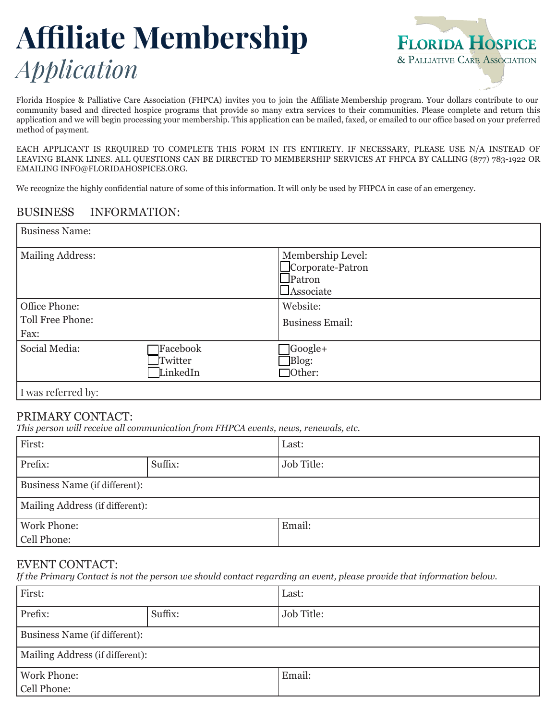# **Affiliate Membership**  *Application*



Florida Hospice & Palliative Care Association (FHPCA) invites you to join the Affiliate Membership program. Your dollars contribute to our community based and directed hospice programs that provide so many extra services to their communities. Please complete and return this application and we will begin processing your membership. This application can be mailed, faxed, or emailed to our office based on your preferred method of payment.

EACH APPLICANT IS REQUIRED TO COMPLETE THIS FORM IN ITS ENTIRETY. IF NECESSARY, PLEASE USE N/A INSTEAD OF LEAVING BLANK LINES. ALL QUESTIONS CAN BE DIRECTED TO MEMBERSHIP SERVICES AT FHPCA BY CALLING (877) 783-1922 OR EMAILING INFO@FLORIDAHOSPICES.ORG.

We recognize the highly confidential nature of some of this information. It will only be used by FHPCA in case of an emergency.

#### BUSINESS INFORMATION:

| <b>Business Name:</b>                     |                                 |                                                                     |
|-------------------------------------------|---------------------------------|---------------------------------------------------------------------|
| <b>Mailing Address:</b>                   |                                 | Membership Level:<br>Corporate-Patron<br>$\Box$ Patron<br>Associate |
| Office Phone:<br>Toll Free Phone:<br>Fax: |                                 | Website:<br><b>Business Email:</b>                                  |
| Social Media:                             | Facebook<br>Twitter<br>LinkedIn | $\sqrt{\text{Google}+}$<br>Blog:<br>$\Box$ Other:                   |
| I was referred by:                        |                                 |                                                                     |

#### PRIMARY CONTACT:

*This person will receive all communication from FHPCA events, news, renewals, etc.* 

| First:                          |         | Last:      |
|---------------------------------|---------|------------|
| Prefix:                         | Suffix: | Job Title: |
| Business Name (if different):   |         |            |
| Mailing Address (if different): |         |            |
| <b>Work Phone:</b>              |         | Email:     |
| Cell Phone:                     |         |            |

#### EVENT CONTACT:

*If the Primary Contact is not the person we should contact regarding an event, please provide that information below.*

| First:                          |         | Last:             |
|---------------------------------|---------|-------------------|
| Prefix:                         | Suffix: | <b>Job Title:</b> |
| Business Name (if different):   |         |                   |
| Mailing Address (if different): |         |                   |
| <b>Work Phone:</b>              |         | Email:            |
| Cell Phone:                     |         |                   |